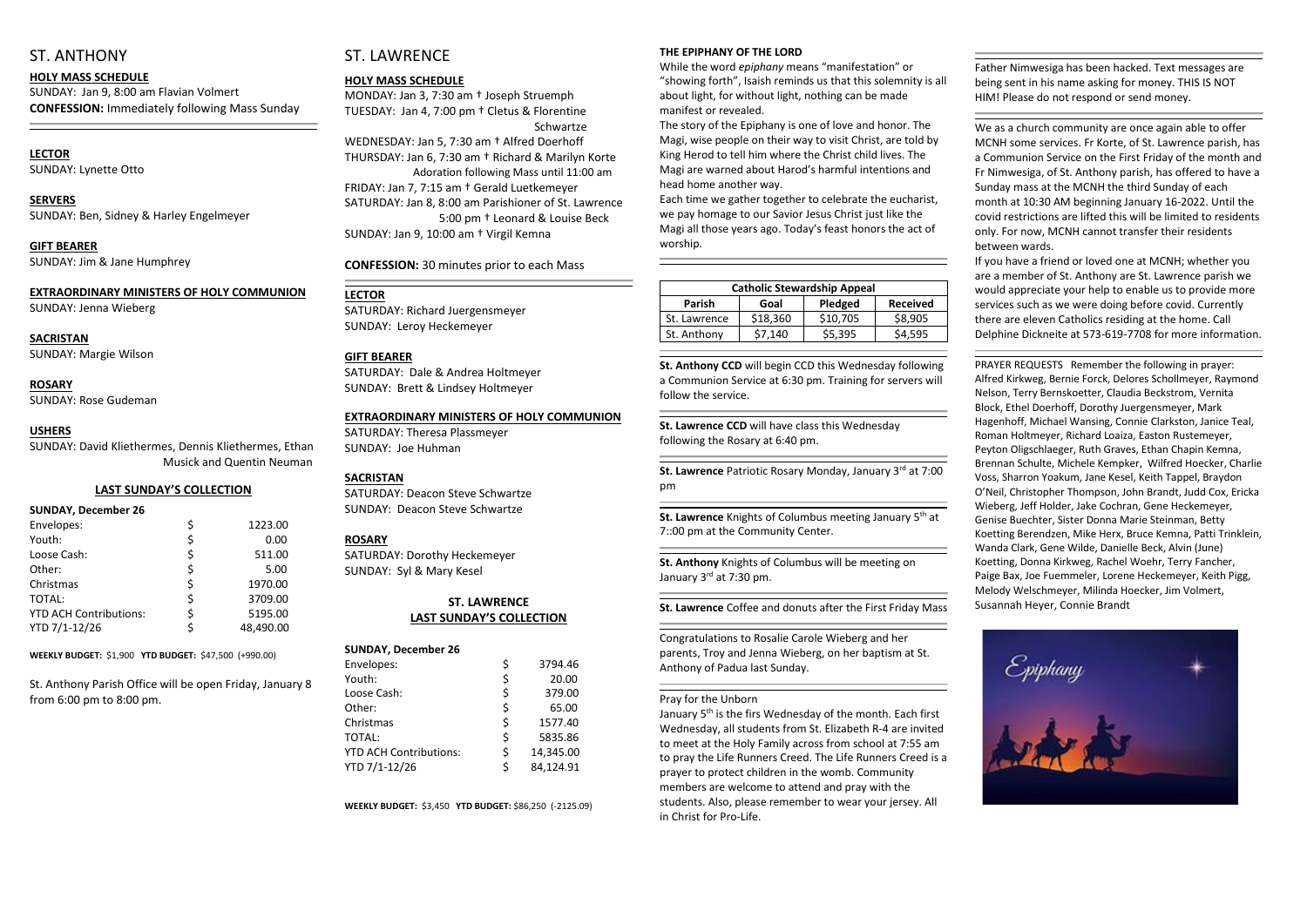# ST. ANTHONY

**HOLY MASS SCHEDULE** SUNDAY: Jan 9, 8:00 am Flavian Volmert **CONFESSION:** Immediately following Mass Sunday

#### **LECTOR** SUNDAY: Lynette Otto

**SERVERS**  SUNDAY: Ben, Sidney & Harley Engelmeyer

**GIFT BEARER** SUNDAY: Jim & Jane Humphrey

#### **EXTRAORDINARY MINISTERS OF HOLY COMMUNION** SUNDAY: Jenna Wieberg

**SACRISTAN** SUNDAY: Margie Wilson

**ROSARY**  SUNDAY: Rose Gudeman

#### **USHERS**

SUNDAY: David Kliethermes, Dennis Kliethermes, Ethan Musick and Quentin Neuman MONDAY: Jan 3, 7:30 am † Joseph Struemph TUESDAY: Jan 4, 7:00 pm † Cletus & Florentine **Schwartze** 

#### **LAST SUNDAY'S COLLECTION**

# **SUNDAY, December 26**

| Envelopes:                    |    | 1223.00   |
|-------------------------------|----|-----------|
| Youth:                        |    | 0.00      |
| Loose Cash:                   | \$ | 511.00    |
| Other:                        | \$ | 5.00      |
| Christmas                     | \$ | 1970.00   |
| <b>TOTAL:</b>                 | \$ | 3709.00   |
| <b>YTD ACH Contributions:</b> | Ś  | 5195.00   |
| YTD 7/1-12/26                 |    | 48,490.00 |

**WEEKLY BUDGET:** \$1,900 **YTD BUDGET:** \$47,500 (+990.00)

St. Anthony Parish Office will be open Friday, January 8 from 6:00 pm to 8:00 pm.

# ST. LAWRENCE

#### **HOLY MASS SCHEDULE**

WEDNESDAY: Jan 5, 7:30 am † Alfred Doerhoff THURSDAY: Jan 6, 7:30 am † Richard & Marilyn Korte Adoration following Mass until 11:00 am FRIDAY: Jan 7, 7:15 am † Gerald Luetkemeyer SATURDAY: Jan 8, 8:00 am Parishioner of St. Lawrence 5:00 pm † Leonard & Louise Beck SUNDAY: Jan 9, 10:00 am † Virgil Kemna

**CONFESSION:** 30 minutes prior to each Mass

#### **LECTOR**

SATURDAY: Richard Juergensmeyer SUNDAY: Leroy Heckemeyer

#### **GIFT BEARER**

SATURDAY: Dale & Andrea Holtmeyer SUNDAY: Brett & Lindsey Holtmeyer

#### **EXTRAORDINARY MINISTERS OF HOLY COMMUNION**

SATURDAY: Theresa Plassmeyer SUNDAY: Joe Huhman

> **St. Lawrence Patriotic Rosary Monday, January 3rd at 7:00** pm

#### **SACRISTAN**

**St. Lawrence** Knights of Columbus meeting January 5<sup>th</sup> at 7::00 pm at the Community Center.

**St. Anthony** Knights of Columbus will be meeting on January 3<sup>rd</sup> at 7:30 pm.

SATURDAY: Deacon Steve Schwartze SUNDAY: Deacon Steve Schwartze

#### **ROSARY**

SATURDAY: Dorothy Heckemeyer SUNDAY: Syl & Mary Kesel

#### **ST. LAWRENCE LAST SUNDAY'S COLLECTION**

#### **SUNDAY, December 26**

| Envelopes:                    | \$<br>3794.46   |
|-------------------------------|-----------------|
| Youth:                        | \$<br>20.00     |
| Loose Cash:                   | \$<br>379.00    |
| Other:                        | \$<br>65.00     |
| Christmas                     | \$<br>1577.40   |
| TOTAL:                        | \$<br>5835.86   |
| <b>YTD ACH Contributions:</b> | \$<br>14,345.00 |
| YTD 7/1-12/26                 | \$<br>84,124.91 |

January 5<sup>th</sup> is the firs Wednesday of the month. Each first Wednesday, all students from St. Elizabeth R-4 are invited to meet at the Holy Family across from school at 7:55 am to pray the Life Runners Creed. The Life Runners Creed is a prayer to protect children in the womb. Community members are welcome to attend and pray with the students. Also, please remember to wear your jersey. All in Christ for Pro-Life.

**WEEKLY BUDGET:** \$3,450 **YTD BUDGET:** \$86,250 (-2125.09)

#### **THE EPIPHANY OF THE LORD**

While the word *epiphany* means "manifestation" or "showing forth", Isaish reminds us that this solemnity is all about light, for without light, nothing can be made manifest or revealed.

The story of the Epiphany is one of love and honor. The Magi, wise people on their way to visit Christ, are told by King Herod to tell him where the Christ child lives. The Magi are warned about Harod's harmful intentions and head home another way.

Each time we gather together to celebrate the eucharist, we pay homage to our Savior Jesus Christ just like the Magi all those years ago. Today's feast honors the act of worship.

| <b>Catholic Stewardship Appeal</b> |          |          |                 |  |
|------------------------------------|----------|----------|-----------------|--|
| <b>Parish</b>                      | Goal     | Pledged  | <b>Received</b> |  |
| St. Lawrence                       | \$18,360 | \$10,705 | \$8,905         |  |
| St. Anthony                        | \$7,140  | \$5,395  | \$4,595         |  |
|                                    |          |          |                 |  |

**St. Anthony CCD** will begin CCD this Wednesday following a Communion Service at 6:30 pm. Training for servers will follow the service.

**St. Lawrence CCD** will have class this Wednesday following the Rosary at 6:40 pm.

**St. Lawrence** Coffee and donuts after the First Friday Mass

Congratulations to Rosalie Carole Wieberg and her parents, Troy and Jenna Wieberg, on her baptism at St. Anthony of Padua last Sunday.

#### Pray for the Unborn

Father Nimwesiga has been hacked. Text messages are being sent in his name asking for money. THIS IS NOT HIM! Please do not respond or send money.

We as a church community are once again able to offer MCNH some services. Fr Korte, of St. Lawrence parish, has a Communion Service on the First Friday of the month and Fr Nimwesiga, of St. Anthony parish, has offered to have a Sunday mass at the MCNH the third Sunday of each month at 10:30 AM beginning January 16-2022. Until the covid restrictions are lifted this will be limited to residents only. For now, MCNH cannot transfer their residents between wards.

If you have a friend or loved one at MCNH; whether you are a member of St. Anthony are St. Lawrence parish we would appreciate your help to enable us to provide more services such as we were doing before covid. Currently there are eleven Catholics residing at the home. Call Delphine Dickneite at 573-619-7708 for more information.

PRAYER REQUESTS Remember the following in prayer: Alfred Kirkweg, Bernie Forck, Delores Schollmeyer, Raymond Nelson, Terry Bernskoetter, Claudia Beckstrom, Vernita Block, Ethel Doerhoff, Dorothy Juergensmeyer, Mark Hagenhoff, Michael Wansing, Connie Clarkston, Janice Teal, Roman Holtmeyer, Richard Loaiza, Easton Rustemeyer, Peyton Oligschlaeger, Ruth Graves, Ethan Chapin Kemna, Brennan Schulte, Michele Kempker, Wilfred Hoecker, Charlie Voss, Sharron Yoakum, Jane Kesel, Keith Tappel, Braydon O'Neil, Christopher Thompson, John Brandt, Judd Cox, Ericka Wieberg, Jeff Holder, Jake Cochran, Gene Heckemeyer, Genise Buechter, Sister Donna Marie Steinman, Betty Koetting Berendzen, Mike Herx, Bruce Kemna, Patti Trinklein, Wanda Clark, Gene Wilde, Danielle Beck, Alvin (June) Koetting, Donna Kirkweg, Rachel Woehr, Terry Fancher, Paige Bax, Joe Fuemmeler, Lorene Heckemeyer, Keith Pigg, Melody Welschmeyer, Milinda Hoecker, Jim Volmert, Susannah Heyer, Connie Brandt